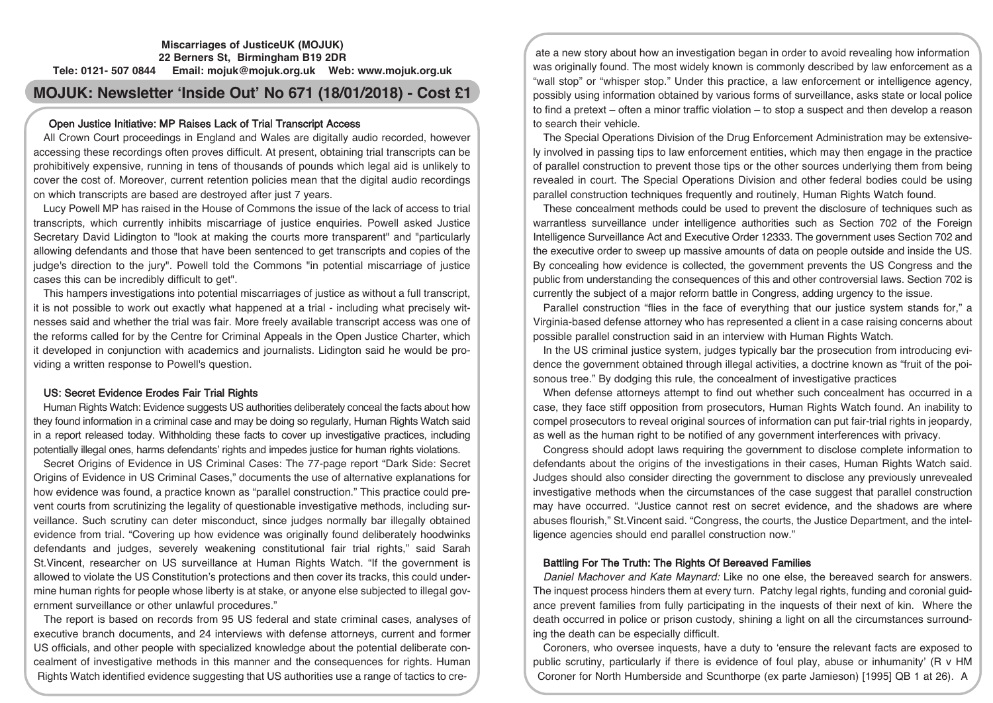### **Miscarriages of JusticeUK (MOJUK) 22 Berners St, Birmingham B19 2DR Tele: 0121- 507 0844 Email: mojuk@mojuk.org.uk Web: www.mojuk.org.uk**

# **MOJUK: Newsletter 'Inside Out' No 671 (18/01/2018) - Cost £1**

# Open Justice Initiative: MP Raises Lack of Trial Transcript Access

All Crown Court proceedings in England and Wales are digitally audio recorded, however accessing these recordings often proves difficult. At present, obtaining trial transcripts can be prohibitively expensive, running in tens of thousands of pounds which legal aid is unlikely to cover the cost of. Moreover, current retention policies mean that the digital audio recordings on which transcripts are based are destroyed after just 7 years.

Lucy Powell MP has raised in the House of Commons the issue of the lack of access to trial transcripts, which currently inhibits miscarriage of justice enquiries. Powell asked Justice Secretary David Lidington to "look at making the courts more transparent" and "particularly allowing defendants and those that have been sentenced to get transcripts and copies of the judge's direction to the jury". Powell told the Commons "in potential miscarriage of justice cases this can be incredibly difficult to get".

This hampers investigations into potential miscarriages of justice as without a full transcript, it is not possible to work out exactly what happened at a trial - including what precisely witnesses said and whether the trial was fair. More freely available transcript access was one of the reforms called for by the Centre for Criminal Appeals in the Open Justice Charter, which it developed in conjunction with academics and journalists. Lidington said he would be providing a written response to Powell's question.

# US: Secret Evidence Erodes Fair Trial Rights

Human Rights Watch: Evidence suggests US authorities deliberately conceal the facts about how they found information in a criminal case and may be doing so regularly, Human Rights Watch said in a report released today. Withholding these facts to cover up investigative practices, including potentially illegal ones, harms defendants' rights and impedes justice for human rights violations.

Secret Origins of Evidence in US Criminal Cases: The 77-page report "Dark Side: Secret Origins of Evidence in US Criminal Cases," documents the use of alternative explanations for how evidence was found, a practice known as "parallel construction." This practice could prevent courts from scrutinizing the legality of questionable investigative methods, including surveillance. Such scrutiny can deter misconduct, since judges normally bar illegally obtained evidence from trial. "Covering up how evidence was originally found deliberately hoodwinks defendants and judges, severely weakening constitutional fair trial rights," said Sarah St.Vincent, researcher on US surveillance at Human Rights Watch. "If the government is allowed to violate the US Constitution's protections and then cover its tracks, this could undermine human rights for people whose liberty is at stake, or anyone else subjected to illegal government surveillance or other unlawful procedures."

The report is based on records from 95 US federal and state criminal cases, analyses of executive branch documents, and 24 interviews with defense attorneys, current and former US officials, and other people with specialized knowledge about the potential deliberate concealment of investigative methods in this manner and the consequences for rights. Human Rights Watch identified evidence suggesting that US authorities use a range of tactics to cre-

ate a new story about how an investigation began in order to avoid revealing how information was originally found. The most widely known is commonly described by law enforcement as a "wall stop" or "whisper stop." Under this practice, a law enforcement or intelligence agency, possibly using information obtained by various forms of surveillance, asks state or local police to find a pretext – often a minor traffic violation – to stop a suspect and then develop a reason to search their vehicle.

The Special Operations Division of the Drug Enforcement Administration may be extensively involved in passing tips to law enforcement entities, which may then engage in the practice of parallel construction to prevent those tips or the other sources underlying them from being revealed in court. The Special Operations Division and other federal bodies could be using parallel construction techniques frequently and routinely, Human Rights Watch found.

These concealment methods could be used to prevent the disclosure of techniques such as warrantless surveillance under intelligence authorities such as Section 702 of the Foreign Intelligence Surveillance Act and Executive Order 12333. The government uses Section 702 and the executive order to sweep up massive amounts of data on people outside and inside the US. By concealing how evidence is collected, the government prevents the US Congress and the public from understanding the consequences of this and other controversial laws. Section 702 is currently the subject of a major reform battle in Congress, adding urgency to the issue.

Parallel construction "flies in the face of everything that our justice system stands for," a Virginia-based defense attorney who has represented a client in a case raising concerns about possible parallel construction said in an interview with Human Rights Watch.

In the US criminal justice system, judges typically bar the prosecution from introducing evidence the government obtained through illegal activities, a doctrine known as "fruit of the poisonous tree." By dodging this rule, the concealment of investigative practices

When defense attorneys attempt to find out whether such concealment has occurred in a case, they face stiff opposition from prosecutors, Human Rights Watch found. An inability to compel prosecutors to reveal original sources of information can put fair-trial rights in jeopardy, as well as the human right to be notified of any government interferences with privacy.

Congress should adopt laws requiring the government to disclose complete information to defendants about the origins of the investigations in their cases, Human Rights Watch said. Judges should also consider directing the government to disclose any previously unrevealed investigative methods when the circumstances of the case suggest that parallel construction may have occurred. "Justice cannot rest on secret evidence, and the shadows are where abuses flourish," St.Vincent said. "Congress, the courts, the Justice Department, and the intelligence agencies should end parallel construction now."

## Battling For The Truth: The Rights Of Bereaved Families

Daniel Machover and Kate Maynard: Like no one else, the bereaved search for answers. The inquest process hinders them at every turn. Patchy legal rights, funding and coronial guidance prevent families from fully participating in the inquests of their next of kin. Where the death occurred in police or prison custody, shining a light on all the circumstances surrounding the death can be especially difficult.

Coroners, who oversee inquests, have a duty to 'ensure the relevant facts are exposed to public scrutiny, particularly if there is evidence of foul play, abuse or inhumanity' (R v HM Coroner for North Humberside and Scunthorpe (ex parte Jamieson) [1995] QB 1 at 26). A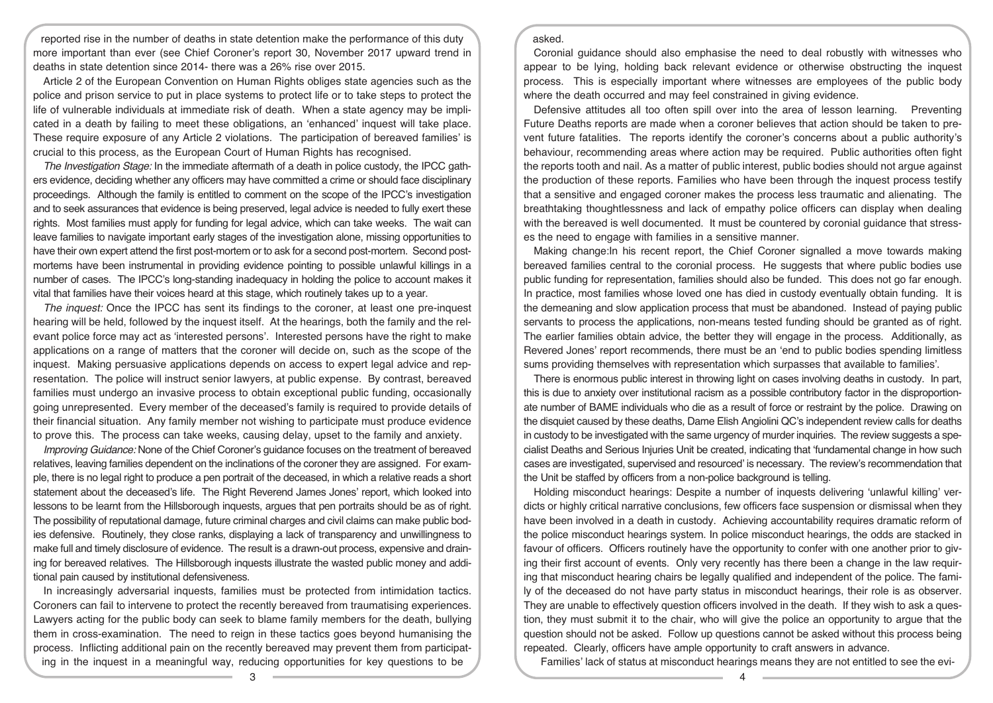reported rise in the number of deaths in state detention make the performance of this duty more important than ever (see Chief Coroner's report 30, November 2017 upward trend in deaths in state detention since 2014- there was a 26% rise over 2015.

Article 2 of the European Convention on Human Rights obliges state agencies such as the police and prison service to put in place systems to protect life or to take steps to protect the life of vulnerable individuals at immediate risk of death. When a state agency may be implicated in a death by failing to meet these obligations, an 'enhanced' inquest will take place. These require exposure of any Article 2 violations. The participation of bereaved families' is crucial to this process, as the European Court of Human Rights has recognised.

The Investigation Stage: In the immediate aftermath of a death in police custody, the IPCC gathers evidence, deciding whether any officers may have committed a crime or should face disciplinary proceedings. Although the family is entitled to comment on the scope of the IPCC's investigation and to seek assurances that evidence is being preserved, legal advice is needed to fully exert these rights. Most families must apply for funding for legal advice, which can take weeks. The wait can leave families to navigate important early stages of the investigation alone, missing opportunities to have their own expert attend the first post-mortem or to ask for a second post-mortem. Second postmortems have been instrumental in providing evidence pointing to possible unlawful killings in a number of cases. The IPCC's long-standing inadequacy in holding the police to account makes it vital that families have their voices heard at this stage, which routinely takes up to a year.

The inquest: Once the IPCC has sent its findings to the coroner, at least one pre-inquest hearing will be held, followed by the inquest itself. At the hearings, both the family and the relevant police force may act as 'interested persons'. Interested persons have the right to make applications on a range of matters that the coroner will decide on, such as the scope of the inquest. Making persuasive applications depends on access to expert legal advice and representation. The police will instruct senior lawyers, at public expense. By contrast, bereaved families must undergo an invasive process to obtain exceptional public funding, occasionally going unrepresented. Every member of the deceased's family is required to provide details of their financial situation. Any family member not wishing to participate must produce evidence to prove this. The process can take weeks, causing delay, upset to the family and anxiety.

Improving Guidance: None of the Chief Coroner's guidance focuses on the treatment of bereaved relatives, leaving families dependent on the inclinations of the coroner they are assigned. For example, there is no legal right to produce a pen portrait of the deceased, in which a relative reads a short statement about the deceased's life. The Right Reverend James Jones' report, which looked into lessons to be learnt from the Hillsborough inquests, argues that pen portraits should be as of right. The possibility of reputational damage, future criminal charges and civil claims can make public bodies defensive. Routinely, they close ranks, displaying a lack of transparency and unwillingness to make full and timely disclosure of evidence. The result is a drawn-out process, expensive and draining for bereaved relatives. The Hillsborough inquests illustrate the wasted public money and additional pain caused by institutional defensiveness.

In increasingly adversarial inquests, families must be protected from intimidation tactics. Coroners can fail to intervene to protect the recently bereaved from traumatising experiences. Lawyers acting for the public body can seek to blame family members for the death, bullying them in cross-examination. The need to reign in these tactics goes beyond humanising the process. Inflicting additional pain on the recently bereaved may prevent them from participating in the inquest in a meaningful way, reducing opportunities for key questions to be

#### asked.

Coronial guidance should also emphasise the need to deal robustly with witnesses who appear to be lying, holding back relevant evidence or otherwise obstructing the inquest process. This is especially important where witnesses are employees of the public body where the death occurred and may feel constrained in giving evidence.

Defensive attitudes all too often spill over into the area of lesson learning. Preventing Future Deaths reports are made when a coroner believes that action should be taken to prevent future fatalities. The reports identify the coroner's concerns about a public authority's behaviour, recommending areas where action may be required. Public authorities often fight the reports tooth and nail. As a matter of public interest, public bodies should not argue against the production of these reports. Families who have been through the inquest process testify that a sensitive and engaged coroner makes the process less traumatic and alienating. The breathtaking thoughtlessness and lack of empathy police officers can display when dealing with the bereaved is well documented. It must be countered by coronial guidance that stresses the need to engage with families in a sensitive manner.

Making change:In his recent report, the Chief Coroner signalled a move towards making bereaved families central to the coronial process. He suggests that where public bodies use public funding for representation, families should also be funded. This does not go far enough. In practice, most families whose loved one has died in custody eventually obtain funding. It is the demeaning and slow application process that must be abandoned. Instead of paying public servants to process the applications, non-means tested funding should be granted as of right. The earlier families obtain advice, the better they will engage in the process. Additionally, as Revered Jones' report recommends, there must be an 'end to public bodies spending limitless sums providing themselves with representation which surpasses that available to families'.

There is enormous public interest in throwing light on cases involving deaths in custody. In part, this is due to anxiety over institutional racism as a possible contributory factor in the disproportionate number of BAME individuals who die as a result of force or restraint by the police. Drawing on the disquiet caused by these deaths, Dame Elish Angiolini QC's independent review calls for deaths in custody to be investigated with the same urgency of murder inquiries. The review suggests a specialist Deaths and Serious Injuries Unit be created, indicating that 'fundamental change in how such cases are investigated, supervised and resourced' is necessary. The review's recommendation that the Unit be staffed by officers from a non-police background is telling.

Holding misconduct hearings: Despite a number of inquests delivering 'unlawful killing' verdicts or highly critical narrative conclusions, few officers face suspension or dismissal when they have been involved in a death in custody. Achieving accountability requires dramatic reform of the police misconduct hearings system. In police misconduct hearings, the odds are stacked in favour of officers. Officers routinely have the opportunity to confer with one another prior to giving their first account of events. Only very recently has there been a change in the law requiring that misconduct hearing chairs be legally qualified and independent of the police. The family of the deceased do not have party status in misconduct hearings, their role is as observer. They are unable to effectively question officers involved in the death. If they wish to ask a question, they must submit it to the chair, who will give the police an opportunity to argue that the question should not be asked. Follow up questions cannot be asked without this process being repeated. Clearly, officers have ample opportunity to craft answers in advance.

Families' lack of status at misconduct hearings means they are not entitled to see the evi-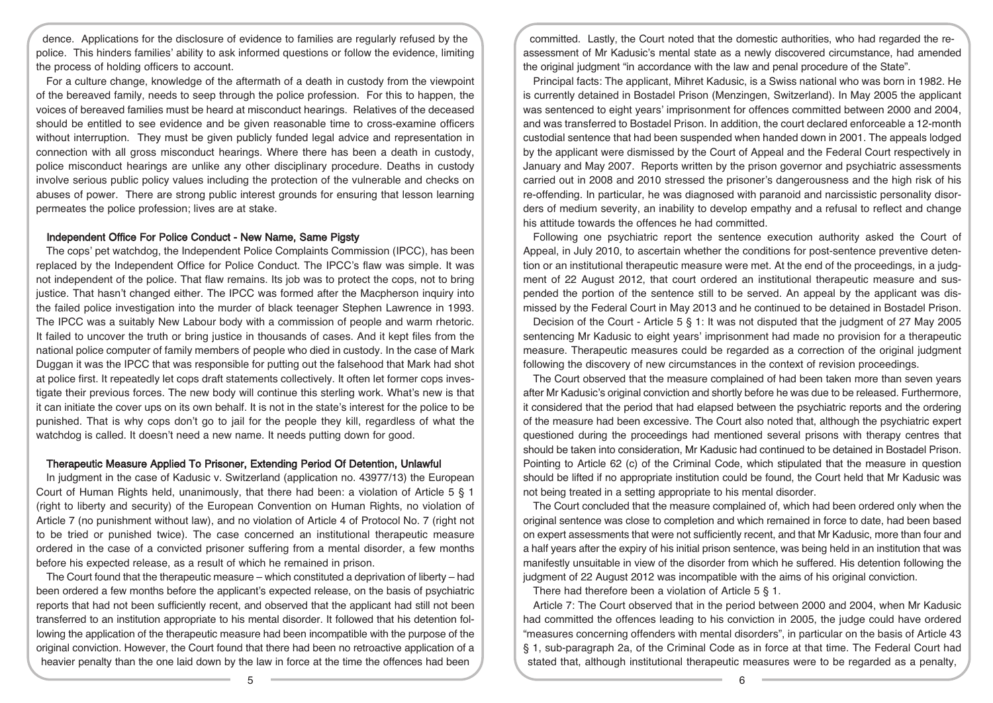dence. Applications for the disclosure of evidence to families are regularly refused by the police. This hinders families' ability to ask informed questions or follow the evidence, limiting the process of holding officers to account.

For a culture change, knowledge of the aftermath of a death in custody from the viewpoint of the bereaved family, needs to seep through the police profession. For this to happen, the voices of bereaved families must be heard at misconduct hearings. Relatives of the deceased should be entitled to see evidence and be given reasonable time to cross-examine officers without interruption. They must be given publicly funded legal advice and representation in connection with all gross misconduct hearings. Where there has been a death in custody, police misconduct hearings are unlike any other disciplinary procedure. Deaths in custody involve serious public policy values including the protection of the vulnerable and checks on abuses of power. There are strong public interest grounds for ensuring that lesson learning permeates the police profession; lives are at stake.

#### Independent Office For Police Conduct - New Name, Same Pigsty

The cops' pet watchdog, the Independent Police Complaints Commission (IPCC), has been replaced by the Independent Office for Police Conduct. The IPCC's flaw was simple. It was not independent of the police. That flaw remains. Its job was to protect the cops, not to bring justice. That hasn't changed either. The IPCC was formed after the Macpherson inquiry into the failed police investigation into the murder of black teenager Stephen Lawrence in 1993. The IPCC was a suitably New Labour body with a commission of people and warm rhetoric. It failed to uncover the truth or bring justice in thousands of cases. And it kept files from the national police computer of family members of people who died in custody. In the case of Mark Duggan it was the IPCC that was responsible for putting out the falsehood that Mark had shot at police first. It repeatedly let cops draft statements collectively. It often let former cops investigate their previous forces. The new body will continue this sterling work. What's new is that it can initiate the cover ups on its own behalf. It is not in the state's interest for the police to be punished. That is why cops don't go to jail for the people they kill, regardless of what the watchdog is called. It doesn't need a new name. It needs putting down for good.

#### Therapeutic Measure Applied To Prisoner, Extending Period Of Detention, Unlawful

In judgment in the case of Kadusic v. Switzerland (application no. 43977/13) the European Court of Human Rights held, unanimously, that there had been: a violation of Article 5 § 1 (right to liberty and security) of the European Convention on Human Rights, no violation of Article 7 (no punishment without law), and no violation of Article 4 of Protocol No. 7 (right not to be tried or punished twice). The case concerned an institutional therapeutic measure ordered in the case of a convicted prisoner suffering from a mental disorder, a few months before his expected release, as a result of which he remained in prison.

The Court found that the therapeutic measure – which constituted a deprivation of liberty – had been ordered a few months before the applicant's expected release, on the basis of psychiatric reports that had not been sufficiently recent, and observed that the applicant had still not been transferred to an institution appropriate to his mental disorder. It followed that his detention following the application of the therapeutic measure had been incompatible with the purpose of the original conviction. However, the Court found that there had been no retroactive application of a heavier penalty than the one laid down by the law in force at the time the offences had been

committed. Lastly, the Court noted that the domestic authorities, who had regarded the reassessment of Mr Kadusic's mental state as a newly discovered circumstance, had amended the original judgment "in accordance with the law and penal procedure of the State".

Principal facts: The applicant, Mihret Kadusic, is a Swiss national who was born in 1982. He is currently detained in Bostadel Prison (Menzingen, Switzerland). In May 2005 the applicant was sentenced to eight years' imprisonment for offences committed between 2000 and 2004, and was transferred to Bostadel Prison. In addition, the court declared enforceable a 12-month custodial sentence that had been suspended when handed down in 2001. The appeals lodged by the applicant were dismissed by the Court of Appeal and the Federal Court respectively in January and May 2007. Reports written by the prison governor and psychiatric assessments carried out in 2008 and 2010 stressed the prisoner's dangerousness and the high risk of his re-offending. In particular, he was diagnosed with paranoid and narcissistic personality disorders of medium severity, an inability to develop empathy and a refusal to reflect and change his attitude towards the offences he had committed.

Following one psychiatric report the sentence execution authority asked the Court of Appeal, in July 2010, to ascertain whether the conditions for post-sentence preventive detention or an institutional therapeutic measure were met. At the end of the proceedings, in a judgment of 22 August 2012, that court ordered an institutional therapeutic measure and suspended the portion of the sentence still to be served. An appeal by the applicant was dismissed by the Federal Court in May 2013 and he continued to be detained in Bostadel Prison.

Decision of the Court - Article 5 § 1: It was not disputed that the judgment of 27 May 2005 sentencing Mr Kadusic to eight years' imprisonment had made no provision for a therapeutic measure. Therapeutic measures could be regarded as a correction of the original judgment following the discovery of new circumstances in the context of revision proceedings.

The Court observed that the measure complained of had been taken more than seven years after Mr Kadusic's original conviction and shortly before he was due to be released. Furthermore, it considered that the period that had elapsed between the psychiatric reports and the ordering of the measure had been excessive. The Court also noted that, although the psychiatric expert questioned during the proceedings had mentioned several prisons with therapy centres that should be taken into consideration, Mr Kadusic had continued to be detained in Bostadel Prison. Pointing to Article 62 (c) of the Criminal Code, which stipulated that the measure in question should be lifted if no appropriate institution could be found, the Court held that Mr Kadusic was not being treated in a setting appropriate to his mental disorder.

The Court concluded that the measure complained of, which had been ordered only when the original sentence was close to completion and which remained in force to date, had been based on expert assessments that were not sufficiently recent, and that Mr Kadusic, more than four and a half years after the expiry of his initial prison sentence, was being held in an institution that was manifestly unsuitable in view of the disorder from which he suffered. His detention following the judgment of 22 August 2012 was incompatible with the aims of his original conviction.

There had therefore been a violation of Article 5 § 1.

Article 7: The Court observed that in the period between 2000 and 2004, when Mr Kadusic had committed the offences leading to his conviction in 2005, the judge could have ordered "measures concerning offenders with mental disorders", in particular on the basis of Article 43 § 1, sub-paragraph 2a, of the Criminal Code as in force at that time. The Federal Court had stated that, although institutional therapeutic measures were to be regarded as a penalty,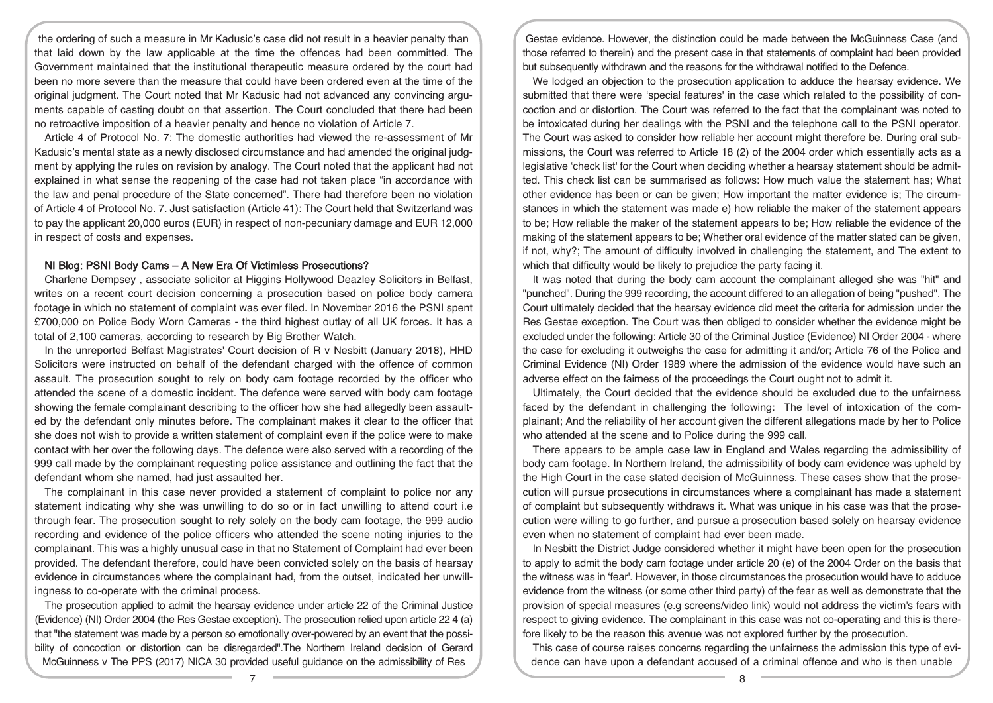the ordering of such a measure in Mr Kadusic's case did not result in a heavier penalty than that laid down by the law applicable at the time the offences had been committed. The Government maintained that the institutional therapeutic measure ordered by the court had been no more severe than the measure that could have been ordered even at the time of the original judgment. The Court noted that Mr Kadusic had not advanced any convincing arguments capable of casting doubt on that assertion. The Court concluded that there had been no retroactive imposition of a heavier penalty and hence no violation of Article 7.

Article 4 of Protocol No. 7: The domestic authorities had viewed the re-assessment of Mr Kadusic's mental state as a newly disclosed circumstance and had amended the original judgment by applying the rules on revision by analogy. The Court noted that the applicant had not explained in what sense the reopening of the case had not taken place "in accordance with the law and penal procedure of the State concerned". There had therefore been no violation of Article 4 of Protocol No. 7. Just satisfaction (Article 41): The Court held that Switzerland was to pay the applicant 20,000 euros (EUR) in respect of non-pecuniary damage and EUR 12,000 in respect of costs and expenses.

#### NI Blog: PSNI Body Cams – A New Era Of Victimless Prosecutions?

Charlene Dempsey , associate solicitor at Higgins Hollywood Deazley Solicitors in Belfast, writes on a recent court decision concerning a prosecution based on police body camera footage in which no statement of complaint was ever filed. In November 2016 the PSNI spent £700,000 on Police Body Worn Cameras - the third highest outlay of all UK forces. It has a total of 2,100 cameras, according to research by Big Brother Watch.

In the unreported Belfast Magistrates' Court decision of R v Nesbitt (January 2018), HHD Solicitors were instructed on behalf of the defendant charged with the offence of common assault. The prosecution sought to rely on body cam footage recorded by the officer who attended the scene of a domestic incident. The defence were served with body cam footage showing the female complainant describing to the officer how she had allegedly been assaulted by the defendant only minutes before. The complainant makes it clear to the officer that she does not wish to provide a written statement of complaint even if the police were to make contact with her over the following days. The defence were also served with a recording of the 999 call made by the complainant requesting police assistance and outlining the fact that the defendant whom she named, had just assaulted her.

The complainant in this case never provided a statement of complaint to police nor any statement indicating why she was unwilling to do so or in fact unwilling to attend court i.e through fear. The prosecution sought to rely solely on the body cam footage, the 999 audio recording and evidence of the police officers who attended the scene noting injuries to the complainant. This was a highly unusual case in that no Statement of Complaint had ever been provided. The defendant therefore, could have been convicted solely on the basis of hearsay evidence in circumstances where the complainant had, from the outset, indicated her unwillingness to co-operate with the criminal process.

The prosecution applied to admit the hearsay evidence under article 22 of the Criminal Justice (Evidence) (NI) Order 2004 (the Res Gestae exception). The prosecution relied upon article 22 4 (a) that "the statement was made by a person so emotionally over-powered by an event that the possibility of concoction or distortion can be disregarded".The Northern Ireland decision of Gerard McGuinness v The PPS (2017) NICA 30 provided useful guidance on the admissibility of Res

Gestae evidence. However, the distinction could be made between the McGuinness Case (and those referred to therein) and the present case in that statements of complaint had been provided but subsequently withdrawn and the reasons for the withdrawal notified to the Defence.

We lodged an objection to the prosecution application to adduce the hearsay evidence. We submitted that there were 'special features' in the case which related to the possibility of concoction and or distortion. The Court was referred to the fact that the complainant was noted to be intoxicated during her dealings with the PSNI and the telephone call to the PSNI operator. The Court was asked to consider how reliable her account might therefore be. During oral submissions, the Court was referred to Article 18 (2) of the 2004 order which essentially acts as a legislative 'check list' for the Court when deciding whether a hearsay statement should be admitted. This check list can be summarised as follows: How much value the statement has; What other evidence has been or can be given; How important the matter evidence is; The circumstances in which the statement was made e) how reliable the maker of the statement appears to be; How reliable the maker of the statement appears to be; How reliable the evidence of the making of the statement appears to be; Whether oral evidence of the matter stated can be given, if not, why?; The amount of difficulty involved in challenging the statement, and The extent to which that difficulty would be likely to prejudice the party facing it.

It was noted that during the body cam account the complainant alleged she was "hit" and "punched". During the 999 recording, the account differed to an allegation of being "pushed". The Court ultimately decided that the hearsay evidence did meet the criteria for admission under the Res Gestae exception. The Court was then obliged to consider whether the evidence might be excluded under the following: Article 30 of the Criminal Justice (Evidence) NI Order 2004 - where the case for excluding it outweighs the case for admitting it and/or; Article 76 of the Police and Criminal Evidence (NI) Order 1989 where the admission of the evidence would have such an adverse effect on the fairness of the proceedings the Court ought not to admit it.

Ultimately, the Court decided that the evidence should be excluded due to the unfairness faced by the defendant in challenging the following: The level of intoxication of the complainant; And the reliability of her account given the different allegations made by her to Police who attended at the scene and to Police during the 999 call.

There appears to be ample case law in England and Wales regarding the admissibility of body cam footage. In Northern Ireland, the admissibility of body cam evidence was upheld by the High Court in the case stated decision of McGuinness. These cases show that the prosecution will pursue prosecutions in circumstances where a complainant has made a statement of complaint but subsequently withdraws it. What was unique in his case was that the prosecution were willing to go further, and pursue a prosecution based solely on hearsay evidence even when no statement of complaint had ever been made.

In Nesbitt the District Judge considered whether it might have been open for the prosecution to apply to admit the body cam footage under article 20 (e) of the 2004 Order on the basis that the witness was in 'fear'. However, in those circumstances the prosecution would have to adduce evidence from the witness (or some other third party) of the fear as well as demonstrate that the provision of special measures (e.g screens/video link) would not address the victim's fears with respect to giving evidence. The complainant in this case was not co-operating and this is therefore likely to be the reason this avenue was not explored further by the prosecution.

This case of course raises concerns regarding the unfairness the admission this type of evidence can have upon a defendant accused of a criminal offence and who is then unable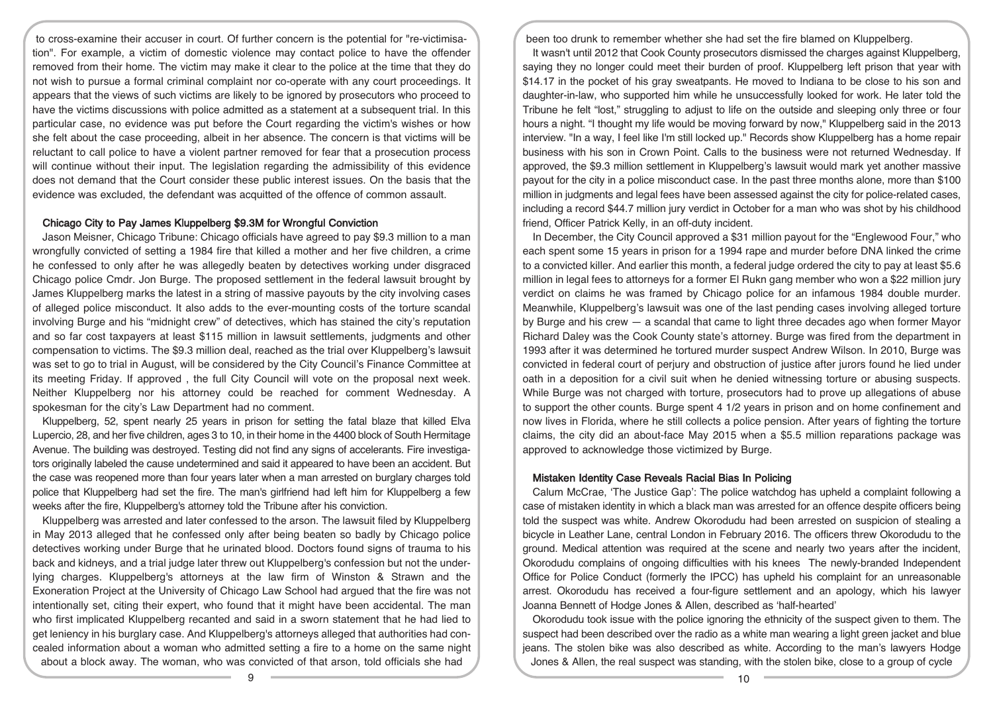to cross-examine their accuser in court. Of further concern is the potential for "re-victimisation". For example, a victim of domestic violence may contact police to have the offender removed from their home. The victim may make it clear to the police at the time that they do not wish to pursue a formal criminal complaint nor co-operate with any court proceedings. It appears that the views of such victims are likely to be ignored by prosecutors who proceed to have the victims discussions with police admitted as a statement at a subsequent trial. In this particular case, no evidence was put before the Court regarding the victim's wishes or how she felt about the case proceeding, albeit in her absence. The concern is that victims will be reluctant to call police to have a violent partner removed for fear that a prosecution process will continue without their input. The legislation regarding the admissibility of this evidence does not demand that the Court consider these public interest issues. On the basis that the evidence was excluded, the defendant was acquitted of the offence of common assault.

### Chicago City to Pay James Kluppelberg \$9.3M for Wrongful Conviction

Jason Meisner, Chicago Tribune: Chicago officials have agreed to pay \$9.3 million to a man wrongfully convicted of setting a 1984 fire that killed a mother and her five children, a crime he confessed to only after he was allegedly beaten by detectives working under disgraced Chicago police Cmdr. Jon Burge. The proposed settlement in the federal lawsuit brought by James Kluppelberg marks the latest in a string of massive payouts by the city involving cases of alleged police misconduct. It also adds to the ever-mounting costs of the torture scandal involving Burge and his "midnight crew" of detectives, which has stained the city's reputation and so far cost taxpayers at least \$115 million in lawsuit settlements, judgments and other compensation to victims. The \$9.3 million deal, reached as the trial over Kluppelberg's lawsuit was set to go to trial in August, will be considered by the City Council's Finance Committee at its meeting Friday. If approved , the full City Council will vote on the proposal next week. Neither Kluppelberg nor his attorney could be reached for comment Wednesday. A spokesman for the city's Law Department had no comment.

Kluppelberg, 52, spent nearly 25 years in prison for setting the fatal blaze that killed Elva Lupercio, 28, and her five children, ages 3 to 10, in their home in the 4400 block of South Hermitage Avenue. The building was destroyed. Testing did not find any signs of accelerants. Fire investigators originally labeled the cause undetermined and said it appeared to have been an accident. But the case was reopened more than four years later when a man arrested on burglary charges told police that Kluppelberg had set the fire. The man's girlfriend had left him for Kluppelberg a few weeks after the fire, Kluppelberg's attorney told the Tribune after his conviction.

Kluppelberg was arrested and later confessed to the arson. The lawsuit filed by Kluppelberg in May 2013 alleged that he confessed only after being beaten so badly by Chicago police detectives working under Burge that he urinated blood. Doctors found signs of trauma to his back and kidneys, and a trial judge later threw out Kluppelberg's confession but not the underlying charges. Kluppelberg's attorneys at the law firm of Winston & Strawn and the Exoneration Project at the University of Chicago Law School had argued that the fire was not intentionally set, citing their expert, who found that it might have been accidental. The man who first implicated Kluppelberg recanted and said in a sworn statement that he had lied to get leniency in his burglary case. And Kluppelberg's attorneys alleged that authorities had concealed information about a woman who admitted setting a fire to a home on the same night about a block away. The woman, who was convicted of that arson, told officials she had

been too drunk to remember whether she had set the fire blamed on Kluppelberg.

It wasn't until 2012 that Cook County prosecutors dismissed the charges against Kluppelberg, saying they no longer could meet their burden of proof. Kluppelberg left prison that year with \$14.17 in the pocket of his gray sweatpants. He moved to Indiana to be close to his son and daughter-in-law, who supported him while he unsuccessfully looked for work. He later told the Tribune he felt "lost," struggling to adjust to life on the outside and sleeping only three or four hours a night. "I thought my life would be moving forward by now," Kluppelberg said in the 2013 interview. "In a way, I feel like I'm still locked up." Records show Kluppelberg has a home repair business with his son in Crown Point. Calls to the business were not returned Wednesday. If approved, the \$9.3 million settlement in Kluppelberg's lawsuit would mark yet another massive payout for the city in a police misconduct case. In the past three months alone, more than \$100 million in judgments and legal fees have been assessed against the city for police-related cases, including a record \$44.7 million jury verdict in October for a man who was shot by his childhood friend, Officer Patrick Kelly, in an off-duty incident.

In December, the City Council approved a \$31 million payout for the "Englewood Four," who each spent some 15 years in prison for a 1994 rape and murder before DNA linked the crime to a convicted killer. And earlier this month, a federal judge ordered the city to pay at least \$5.6 million in legal fees to attorneys for a former El Rukn gang member who won a \$22 million jury verdict on claims he was framed by Chicago police for an infamous 1984 double murder. Meanwhile, Kluppelberg's lawsuit was one of the last pending cases involving alleged torture by Burge and his crew — a scandal that came to light three decades ago when former Mayor Richard Daley was the Cook County state's attorney. Burge was fired from the department in 1993 after it was determined he tortured murder suspect Andrew Wilson. In 2010, Burge was convicted in federal court of perjury and obstruction of justice after jurors found he lied under oath in a deposition for a civil suit when he denied witnessing torture or abusing suspects. While Burge was not charged with torture, prosecutors had to prove up allegations of abuse to support the other counts. Burge spent 4 1/2 years in prison and on home confinement and now lives in Florida, where he still collects a police pension. After years of fighting the torture claims, the city did an about-face May 2015 when a \$5.5 million reparations package was approved to acknowledge those victimized by Burge.

#### Mistaken Identity Case Reveals Racial Bias In Policing

Calum McCrae, 'The Justice Gap': The police watchdog has upheld a complaint following a case of mistaken identity in which a black man was arrested for an offence despite officers being told the suspect was white. Andrew Okorodudu had been arrested on suspicion of stealing a bicycle in Leather Lane, central London in February 2016. The officers threw Okorodudu to the ground. Medical attention was required at the scene and nearly two years after the incident, Okorodudu complains of ongoing difficulties with his knees The newly-branded Independent Office for Police Conduct (formerly the IPCC) has upheld his complaint for an unreasonable arrest. Okorodudu has received a four-figure settlement and an apology, which his lawyer Joanna Bennett of Hodge Jones & Allen, described as 'half-hearted'

Okorodudu took issue with the police ignoring the ethnicity of the suspect given to them. The suspect had been described over the radio as a white man wearing a light green jacket and blue jeans. The stolen bike was also described as white. According to the man's lawyers Hodge Jones & Allen, the real suspect was standing, with the stolen bike, close to a group of cycle